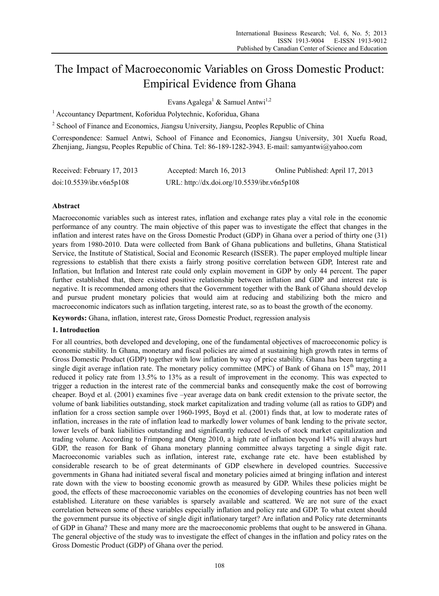# The Impact of Macroeconomic Variables on Gross Domestic Product: Empirical Evidence from Ghana

Evans Agalega<sup>1</sup> & Samuel Antwi<sup>1,2</sup>

<sup>1</sup> Accountancy Department, Koforidua Polytechnic, Koforidua, Ghana

<sup>2</sup> School of Finance and Economics, Jiangsu University, Jiangsu, Peoples Republic of China

Correspondence: Samuel Antwi, School of Finance and Economics, Jiangsu University, 301 Xuefu Road, Zhenjiang, Jiangsu, Peoples Republic of China. Tel: 86-189-1282-3943. E-mail: samyantwi@yahoo.com

| Received: February 17, 2013 | Accepted: March 16, 2013                    | Online Published: April 17, 2013 |
|-----------------------------|---------------------------------------------|----------------------------------|
| doi:10.5539/ibr.v6n5p108    | URL: http://dx.doi.org/10.5539/ibr.v6n5p108 |                                  |

# **Abstract**

Macroeconomic variables such as interest rates, inflation and exchange rates play a vital role in the economic performance of any country. The main objective of this paper was to investigate the effect that changes in the inflation and interest rates have on the Gross Domestic Product (GDP) in Ghana over a period of thirty one (31) years from 1980-2010. Data were collected from Bank of Ghana publications and bulletins, Ghana Statistical Service, the Institute of Statistical, Social and Economic Research (ISSER). The paper employed multiple linear regressions to establish that there exists a fairly strong positive correlation between GDP, Interest rate and Inflation, but Inflation and Interest rate could only explain movement in GDP by only 44 percent. The paper further established that, there existed positive relationship between inflation and GDP and interest rate is negative. It is recommended among others that the Government together with the Bank of Ghana should develop and pursue prudent monetary policies that would aim at reducing and stabilizing both the micro and macroeconomic indicators such as inflation targeting, interest rate, so as to boast the growth of the economy.

**Keywords:** Ghana, inflation, interest rate, Gross Domestic Product, regression analysis

## **1. Introduction**

For all countries, both developed and developing, one of the fundamental objectives of macroeconomic policy is economic stability. In Ghana, monetary and fiscal policies are aimed at sustaining high growth rates in terms of Gross Domestic Product (GDP) together with low inflation by way of price stability. Ghana has been targeting a single digit average inflation rate. The monetary policy committee (MPC) of Bank of Ghana on  $15<sup>th</sup>$  may, 2011 reduced it policy rate from 13.5% to 13% as a result of improvement in the economy. This was expected to trigger a reduction in the interest rate of the commercial banks and consequently make the cost of borrowing cheaper. Boyd et al. (2001) examines five –year average data on bank credit extension to the private sector, the volume of bank liabilities outstanding, stock market capitalization and trading volume (all as ratios to GDP) and inflation for a cross section sample over 1960-1995, Boyd et al. (2001) finds that, at low to moderate rates of inflation, increases in the rate of inflation lead to markedly lower volumes of bank lending to the private sector, lower levels of bank liabilities outstanding and significantly reduced levels of stock market capitalization and trading volume. According to Frimpong and Oteng 2010, a high rate of inflation beyond 14% will always hurt GDP, the reason for Bank of Ghana monetary planning committee always targeting a single digit rate. Macroeconomic variables such as inflation, interest rate, exchange rate etc. have been established by considerable research to be of great determinants of GDP elsewhere in developed countries. Successive governments in Ghana had initiated several fiscal and monetary policies aimed at bringing inflation and interest rate down with the view to boosting economic growth as measured by GDP. Whiles these policies might be good, the effects of these macroeconomic variables on the economies of developing countries has not been well established. Literature on these variables is sparsely available and scattered. We are not sure of the exact correlation between some of these variables especially inflation and policy rate and GDP. To what extent should the government pursue its objective of single digit inflationary target? Are inflation and Policy rate determinants of GDP in Ghana? These and many more are the macroeconomic problems that ought to be answered in Ghana. The general objective of the study was to investigate the effect of changes in the inflation and policy rates on the Gross Domestic Product (GDP) of Ghana over the period.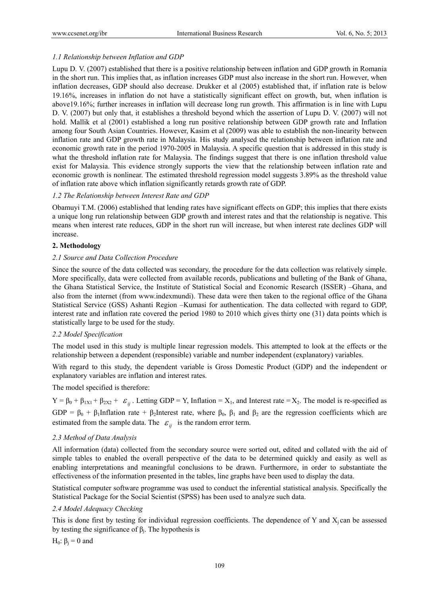# *1.1 Relationship between Inflation and GDP*

Lupu D. V. (2007) established that there is a positive relationship between inflation and GDP growth in Romania in the short run. This implies that, as inflation increases GDP must also increase in the short run. However, when inflation decreases, GDP should also decrease. Drukker et al (2005) established that, if inflation rate is below 19.16%, increases in inflation do not have a statistically significant effect on growth, but, when inflation is above19.16%; further increases in inflation will decrease long run growth. This affirmation is in line with Lupu D. V. (2007) but only that, it establishes a threshold beyond which the assertion of Lupu D. V. (2007) will not hold. Mallik et al (2001) established a long run positive relationship between GDP growth rate and Inflation among four South Asian Countries. However, Kasim et al (2009) was able to establish the non-linearity between inflation rate and GDP growth rate in Malaysia. His study analysed the relationship between inflation rate and economic growth rate in the period 1970-2005 in Malaysia. A specific question that is addressed in this study is what the threshold inflation rate for Malaysia. The findings suggest that there is one inflation threshold value exist for Malaysia. This evidence strongly supports the view that the relationship between inflation rate and economic growth is nonlinear. The estimated threshold regression model suggests 3.89% as the threshold value of inflation rate above which inflation significantly retards growth rate of GDP.

# *1.2 The Relationship between Interest Rate and GDP*

Obamuyi T.M. (2006) established that lending rates have significant effects on GDP; this implies that there exists a unique long run relationship between GDP growth and interest rates and that the relationship is negative. This means when interest rate reduces, GDP in the short run will increase, but when interest rate declines GDP will increase.

## **2. Methodology**

# *2.1 Source and Data Collection Procedure*

Since the source of the data collected was secondary, the procedure for the data collection was relatively simple. More specifically, data were collected from available records, publications and bulleting of the Bank of Ghana, the Ghana Statistical Service, the Institute of Statistical Social and Economic Research (ISSER) –Ghana, and also from the internet (from www.indexmundi). These data were then taken to the regional office of the Ghana Statistical Service (GSS) Ashanti Region –Kumasi for authentication. The data collected with regard to GDP, interest rate and inflation rate covered the period 1980 to 2010 which gives thirty one (31) data points which is statistically large to be used for the study.

## *2.2 Model Specification*

The model used in this study is multiple linear regression models. This attempted to look at the effects or the relationship between a dependent (responsible) variable and number independent (explanatory) variables.

With regard to this study, the dependent variable is Gross Domestic Product (GDP) and the independent or explanatory variables are inflation and interest rates.

The model specified is therefore:

 $Y = \beta_0 + \beta_{1X1} + \beta_{2X2} + \varepsilon_{ii}$ . Letting GDP = Y, Inflation = X<sub>1</sub>, and Interest rate = X<sub>2</sub>. The model is re-specified as GDP =  $\beta_0$  +  $\beta_1$ Inflation rate +  $\beta_2$ Interest rate, where  $\beta_0$ ,  $\beta_1$  and  $\beta_2$  are the regression coefficients which are estimated from the sample data. The  $\varepsilon_{ij}$  is the random error term.

## *2.3 Method of Data Analysis*

All information (data) collected from the secondary source were sorted out, edited and collated with the aid of simple tables to enabled the overall perspective of the data to be determined quickly and easily as well as enabling interpretations and meaningful conclusions to be drawn. Furthermore, in order to substantiate the effectiveness of the information presented in the tables, line graphs have been used to display the data.

Statistical computer software programme was used to conduct the inferential statistical analysis. Specifically the Statistical Package for the Social Scientist (SPSS) has been used to analyze such data.

## *2.4 Model Adequacy Checking*

This is done first by testing for individual regression coefficients. The dependence of Y and  $X_i$  can be assessed by testing the significance of  $β<sub>i</sub>$ . The hypothesis is

H<sub>0</sub>:  $β<sub>i</sub> = 0$  and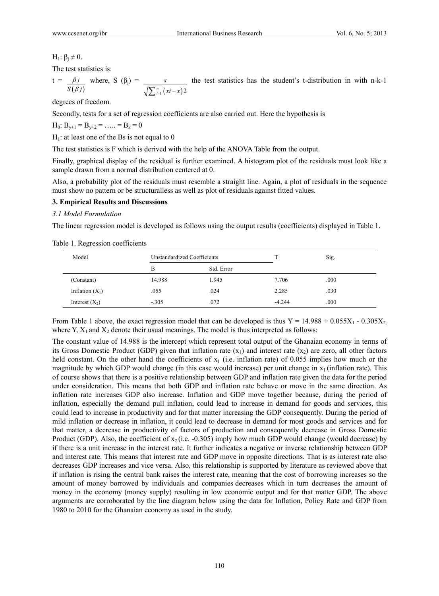H<sub>1</sub>:  $\beta_i \neq 0$ .

The test statistics is:

 $t =$  $(\beta j)$ *j S j*  $\beta$  $_{\beta}$ where, S  $(\beta_i)$  =  $\int_{i=1}^{n} (xi - x) 2$ *s*  $\sum_{i=1}^{n} (xi - x)$ the test statistics has the student's t-distribution in with n-k-1

degrees of freedom.

Secondly, tests for a set of regression coefficients are also carried out. Here the hypothesis is

 $H_0: B_{v+1} = B_{v+2} = \ldots = B_k = 0$ 

 $H<sub>1</sub>$ : at least one of the Bs is not equal to 0

The test statistics is F which is derived with the help of the ANOVA Table from the output.

Finally, graphical display of the residual is further examined. A histogram plot of the residuals must look like a sample drawn from a normal distribution centered at 0.

Also, a probability plot of the residuals must resemble a straight line. Again, a plot of residuals in the sequence must show no pattern or be structuralless as well as plot of residuals against fitted values.

## **3. Empirical Results and Discussions**

## *3.1 Model Formulation*

The linear regression model is developed as follows using the output results (coefficients) displayed in Table 1.

| Model             |         | Unstandardized Coefficients |          | Sig. |  |
|-------------------|---------|-----------------------------|----------|------|--|
|                   | В       | Std. Error                  |          |      |  |
| (Constant)        | 14.988  | 1.945                       | 7.706    | .000 |  |
| Inflation $(X_1)$ | .055    | .024                        | 2.285    | .030 |  |
| Interest $(X_2)$  | $-.305$ | .072                        | $-4.244$ | .000 |  |

Table 1. Regression coefficients

From Table 1 above, the exact regression model that can be developed is thus  $Y = 14.988 + 0.055X_1 - 0.305X_2$ where Y,  $X_1$  and  $X_2$  denote their usual meanings. The model is thus interpreted as follows:

The constant value of 14.988 is the intercept which represent total output of the Ghanaian economy in terms of its Gross Domestic Product (GDP) given that inflation rate  $(x_1)$  and interest rate  $(x_2)$  are zero, all other factors held constant. On the other hand the coefficients of  $x_1$  (i.e. inflation rate) of 0.055 implies how much or the magnitude by which GDP would change (in this case would increase) per unit change in  $x_1$  (inflation rate). This of course shows that there is a positive relationship between GDP and inflation rate given the data for the period under consideration. This means that both GDP and inflation rate behave or move in the same direction. As inflation rate increases GDP also increase. Inflation and GDP move together because, during the period of inflation, especially the demand pull inflation, could lead to increase in demand for goods and services, this could lead to increase in productivity and for that matter increasing the GDP consequently. During the period of mild inflation or decrease in inflation, it could lead to decrease in demand for most goods and services and for that matter, a decrease in productivity of factors of production and consequently decrease in Gross Domestic Product (GDP). Also, the coefficient of  $x_2$  (i.e. -0.305) imply how much GDP would change (would decrease) by if there is a unit increase in the interest rate. It further indicates a negative or inverse relationship between GDP and interest rate. This means that interest rate and GDP move in opposite directions. That is as interest rate also decreases GDP increases and vice versa. Also, this relationship is supported by literature as reviewed above that if inflation is rising the central bank raises the interest rate, meaning that the cost of borrowing increases so the amount of money borrowed by individuals and companies decreases which in turn decreases the amount of money in the economy (money supply) resulting in low economic output and for that matter GDP. The above arguments are corroborated by the line diagram below using the data for Inflation, Policy Rate and GDP from 1980 to 2010 for the Ghanaian economy as used in the study.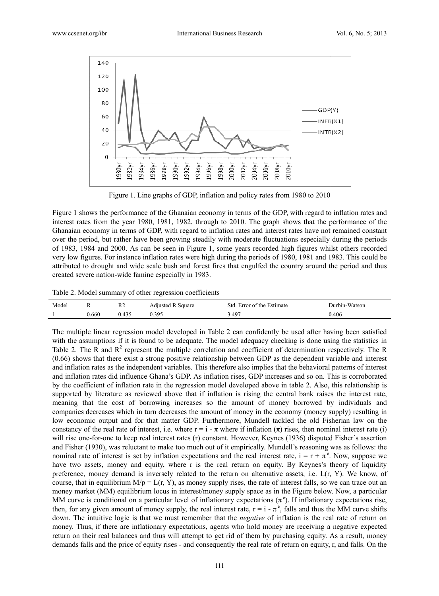

Figure 1. Line graphs of GDP, inflation and policy rates from 1980 to 2010

Figure 1 shows the performance of the Ghanaian economy in terms of the GDP, with regard to inflation rates and interest rates from the year 1980, 1981, 1982, through to 2010. The graph shows that the performance of the Ghanaian economy in terms of GDP, with regard to inflation rates and interest rates have not remained constant over the period, but rather have been growing steadily with moderate fluctuations especially during the periods of 1983, 1984 and 2000. As can be seen in Figure 1, some years recorded high figures whilst others recorded very low figures. For instance inflation rates were high during the periods of 1980, 1981 and 1983. This could be attributed to drought and wide scale bush and forest fires that engulfed the country around the period and thus created severe nation-wide famine especially in 1983.

Table 2. Model summary of other regression coefficients

| Model |       | $\mathbf{D}$<br>r z    | Square<br>Adjusted  | 3td<br>: Estimate<br>Error of the | Durbin-Watson |
|-------|-------|------------------------|---------------------|-----------------------------------|---------------|
|       | 0.660 | $\sim$ $\sim$<br>0.TJJ | 305<br>v. <i>j.</i> | 3.497                             | 0.406         |

The multiple linear regression model developed in Table 2 can confidently be used after having been satisfied with the assumptions if it is found to be adequate. The model adequacy checking is done using the statistics in Table 2. The R and  $R^2$  represent the multiple correlation and coefficient of determination respectively. The R (0.66) sho ws that there exist a strong positive relati ionship betwee en GDP as the e dependent va ariable and int terest and inflation rates as the independent variables. This therefore also implies that the behavioral patterns of interest and inflation rates did influence Ghana's GDP. As inflation rises, GDP increases and so on. This is corroborated by the coefficient of inflation rate in the regression model developed above in table 2. Also, this relationship is supported by literature as reviewed above that if inflation is rising the central bank raises the interest rate, meaning that the cost of borrowing increases so the amount of money borrowed by individuals and companies decreases which in turn decreases the amount of money in the economy (money supply) resulting in low economic output and for that matter GDP. Furthermore, Mundell tackled the old Fisherian law on the constancy of the real rate of interest, i.e. where  $r = i - \pi$  where if inflation  $(\pi)$  rises, then nominal interest rate (i) will rise one-for-one to keep real interest rates (r) constant. However, Keynes (1936) disputed Fisher's assertion and Fisher (1930), was reluctant to make too much out of it empirically. Mundell's reasoning was as follows: the nominal rate of interest is set by inflation expectations and the real interest rate,  $i = r + \pi^e$ . Now, suppose we have two assets, money and equity, where r is the real return on equity. By Keynes's theory of liquidity preference, money demand is inversely related to the return on alternative assets, i.e. L(r, Y). We know, of course, that in equilibrium  $M/p = L(r, Y)$ , as money supply rises, the rate of interest falls, so we can trace out an money market (MM) equilibrium locus in interest/money supply space as in the Figure below. Now, a particular MM curve is conditional on a particular level of inflationary expectations  $(\pi^e)$ . If inflationary expectations rise, then, for any given amount of money supply, the real interest rate,  $r = i - \pi^e$ , falls and thus the MM curve shifts down. The intuitive logic is that we must remember that the *negative* of inflation is the real rate of return on money. Thus, if there are inflationary expectations, agents who hold money are receiving a negative expected return on their real balances and thus will attempt to get rid of them by purchasing equity. As a result, money demands falls and the price of equity rises - and consequently the real rate of return on equity, r, and falls. On the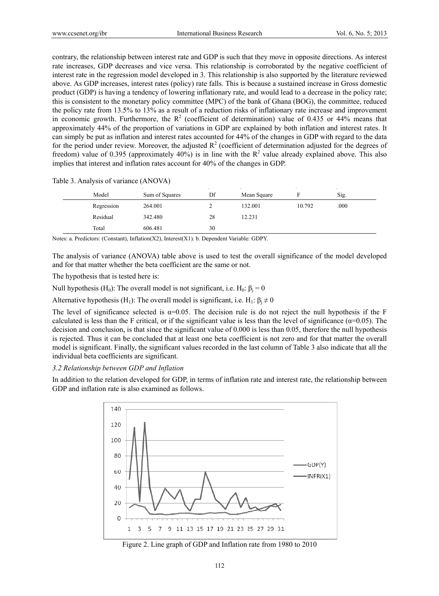contrary, the relationship between interest rate and GDP is such that they move in opposite directions. As interest rate increases, GDP decreases and vice versa. This relationship is corroborated by the negative coefficient of interest rate in the regression model developed in 3. This relationship is also supported by the literature reviewed above. As GDP increases, interest rates (policy) rate falls. This is because a sustained increase in Gross domestic product (GDP) is having a tendency of lowering inflationary rate, and would lead to a decrease in the policy rate; this is consistent to the monetary policy committee (MPC) of the bank of Ghana (BOG), the committee, reduced the policy rate from 13.5% to 13% as a result of a reduction risks of inflationary rate increase and improvement in economic growth. Furthermore, the  $R^2$  (coefficient of determination) value of 0.435 or 44% means that approximately 44% of the proportion of variations in GDP are explained by both inflation and interest rates. It can simply be put as inflation and interest rates accounted for 44% of the changes in GDP with regard to the data for the period under review. Moreover, the adjusted  $R^2$  (coefficient of determination adjusted for the degrees of freedom) value of 0.395 (approximately 40%) is in line with the  $R^2$  value already explained above. This also implies that interest and inflation rates account for 40% of the changes in GDP.

#### Table 3. Analysis of variance (ANOVA)

| Model      | Sum of Squares                                                | Df | Mean Square |        | Sig. |
|------------|---------------------------------------------------------------|----|-------------|--------|------|
| Regression | 264.001                                                       |    | 132.001     | 10.792 | .000 |
| Residual   | 342.480                                                       | 28 | 12.231      |        |      |
| Total      | 606.481                                                       | 30 |             |        |      |
|            | <b>BULLET CONTRACT OF CONTRACT CONTRACT CONTRACT CONTRACT</b> |    |             |        |      |

Notes: a. Predictors: (Constant), Inflation(X2), Interest(X1). b. Dependent Variable: GDPY.

The analysis of variance (ANOVA) table above is used to test the overall significance of the model developed and for that matter whether the beta coefficient are the same or not.

The hypothesis that is tested here is:

Null hypothesis (H<sub>0</sub>): The overall model is not significant, i.e. H<sub>0</sub>:  $\beta_j = 0$ 

Alternative hypothesis (H<sub>1</sub>): The overall model is significant, i.e. H<sub>1</sub>:  $\beta_j \neq 0$ 

The level of significance selected is  $\alpha = 0.05$ . The decision rule is do not reject the null hypothesis if the F calculated is less than the F critical, or if the significant value is less than the level of significance  $(\alpha=0.05)$ . The decision and conclusion, is that since the significant value of 0.000 is less than 0.05, therefore the null hypothesis is rejected. Thus it can be concluded that at least one beta coefficient is not zero and for that matter the overall model is significant. Finally, the significant values recorded in the last column of Table 3 also indicate that all the individual beta coefficients are significant.

#### 3.2 Relationship between GDP and Inflation

In addition to the relation developed for GDP, in terms of inflation rate and interest rate, the relationship between GDP and inflation rate is also examined as follows.



Figure 2. Line graph of GDP and Inflation rate from 1980 to 2010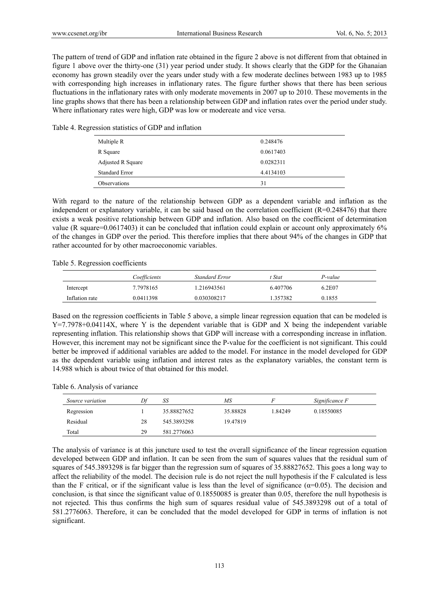The pattern of trend of GDP and inflation rate obtained in the figure 2 above is not different from that obtained in figure 1 above over the thirty-one (31) year period under study. It shows clearly that the GDP for the Ghanaian economy has grown steadily over the years under study with a few moderate declines between 1983 up to 1985 with corresponding high increases in inflationary rates. The figure further shows that there has been serious fluctuations in the inflationary rates with only moderate movements in 2007 up to 2010. These movements in the line graphs shows that there has been a relationship between GDP and inflation rates over the period under study. Where inflationary rates were high, GDP was low or modereate and vice versa.

Table 4. Regression statistics of GDP and inflation

| Multiple R            | 0.248476  |
|-----------------------|-----------|
| R Square              | 0.0617403 |
| Adjusted R Square     | 0.0282311 |
| <b>Standard Error</b> | 4.4134103 |
| Observations          | 31        |

With regard to the nature of the relationship between GDP as a dependent variable and inflation as the independent or explanatory variable, it can be said based on the correlation coefficient  $(R=0.248476)$  that there exists a weak positive relationship between GDP and inflation. Also based on the coefficient of determination value (R square=0.0617403) it can be concluded that inflation could explain or account only approximately 6% of the changes in GDP over the period. This therefore implies that there about 94% of the changes in GDP that rather accounted for by other macroeconomic variables.

Table 5. Regression coefficients

|                | Coefficients | Standard Error | t Stat   | P-value |  |
|----------------|--------------|----------------|----------|---------|--|
| Intercept      | 7.7978165    | 1.216943561    | 6.407706 | 6.2E07  |  |
| Inflation rate | 0.0411398    | 0.030308217    | .357382  | 0.1855  |  |

Based on the regression coefficients in Table 5 above, a simple linear regression equation that can be modeled is Y=7.7978+0.04114X, where Y is the dependent variable that is GDP and X being the independent variable representing inflation. This relationship shows that GDP will increase with a corresponding increase in inflation. However, this increment may not be significant since the P-value for the coefficient is not significant. This could better be improved if additional variables are added to the model. For instance in the model developed for GDP as the dependent variable using inflation and interest rates as the explanatory variables, the constant term is 14.988 which is about twice of that obtained for this model.

## Table 6. Analysis of variance

| Source variation | Df | SS          | МS       |         | Significance F |  |
|------------------|----|-------------|----------|---------|----------------|--|
| Regression       |    | 35.88827652 | 35.88828 | 1.84249 | 0.18550085     |  |
| Residual         | 28 | 545.3893298 | 19.47819 |         |                |  |
| Total            | 29 | 581.2776063 |          |         |                |  |

The analysis of variance is at this juncture used to test the overall significance of the linear regression equation developed between GDP and inflation. It can be seen from the sum of squares values that the residual sum of squares of 545.3893298 is far bigger than the regression sum of squares of 35.88827652. This goes a long way to affect the reliability of the model. The decision rule is do not reject the null hypothesis if the F calculated is less than the F critical, or if the significant value is less than the level of significance ( $\alpha$ =0.05). The decision and conclusion, is that since the significant value of 0.18550085 is greater than 0.05, therefore the null hypothesis is not rejected. This thus confirms the high sum of squares residual value of 545.3893298 out of a total of 581.2776063. Therefore, it can be concluded that the model developed for GDP in terms of inflation is not significant.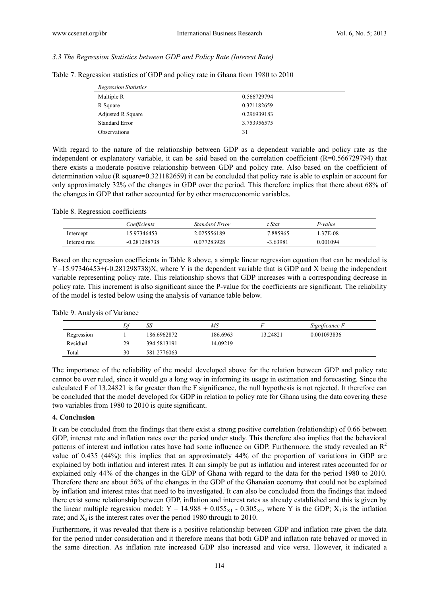## *3.3 The Regression Statistics between GDP and Policy Rate (Interest Rate)*

| <b>Regression Statistics</b> |             |
|------------------------------|-------------|
| Multiple R                   | 0.566729794 |
| R Square                     | 0.321182659 |
| Adjusted R Square            | 0.296939183 |
| <b>Standard Error</b>        | 3.753956575 |
| Observations                 | 31          |

Table 7. Regression statistics of GDP and policy rate in Ghana from 1980 to 2010

With regard to the nature of the relationship between GDP as a dependent variable and policy rate as the independent or explanatory variable, it can be said based on the correlation coefficient (R=0.566729794) that there exists a moderate positive relationship between GDP and policy rate. Also based on the coefficient of determination value (R square=0.321182659) it can be concluded that policy rate is able to explain or account for only approximately 32% of the changes in GDP over the period. This therefore implies that there about 68% of the changes in GDP that rather accounted for by other macroeconomic variables.

Table 8. Regression coefficients

|               | Coefficients   | Standard Error | † Stat     | P-value  |  |
|---------------|----------------|----------------|------------|----------|--|
| Intercept     | 15.97346453    | 2.025556189    | 7.885965   | 1.37E-08 |  |
| Interest rate | $-0.281298738$ | 0.077283928    | $-3.63981$ | 0.001094 |  |

Based on the regression coefficients in Table 8 above, a simple linear regression equation that can be modeled is Y=15.97346453+(-0.281298738)X, where Y is the dependent variable that is GDP and X being the independent variable representing policy rate. This relationship shows that GDP increases with a corresponding decrease in policy rate. This increment is also significant since the P-value for the coefficients are significant. The reliability of the model is tested below using the analysis of variance table below.

|  |  | Table 9. Analysis of Variance |
|--|--|-------------------------------|
|--|--|-------------------------------|

|            | Df | SS          | MS       |          | Significance F |  |
|------------|----|-------------|----------|----------|----------------|--|
| Regression |    | 186.6962872 | 186.6963 | 13.24821 | 0.001093836    |  |
| Residual   | 29 | 394.5813191 | 14.09219 |          |                |  |
| Total      | 30 | 581.2776063 |          |          |                |  |

The importance of the reliability of the model developed above for the relation between GDP and policy rate cannot be over ruled, since it would go a long way in informing its usage in estimation and forecasting. Since the calculated F of 13.24821 is far greater than the F significance, the null hypothesis is not rejected. It therefore can be concluded that the model developed for GDP in relation to policy rate for Ghana using the data covering these two variables from 1980 to 2010 is quite significant.

#### **4. Conclusion**

It can be concluded from the findings that there exist a strong positive correlation (relationship) of 0.66 between GDP, interest rate and inflation rates over the period under study. This therefore also implies that the behavioral patterns of interest and inflation rates have had some influence on GDP. Furthermore, the study revealed an  $R<sup>2</sup>$ value of 0.435 (44%); this implies that an approximately 44% of the proportion of variations in GDP are explained by both inflation and interest rates. It can simply be put as inflation and interest rates accounted for or explained only 44% of the changes in the GDP of Ghana with regard to the data for the period 1980 to 2010. Therefore there are about 56% of the changes in the GDP of the Ghanaian economy that could not be explained by inflation and interest rates that need to be investigated. It can also be concluded from the findings that indeed there exist some relationship between GDP, inflation and interest rates as already established and this is given by the linear multiple regression model:  $Y = 14.988 + 0.055_{X1}$  - 0.305<sub>X2</sub>, where Y is the GDP; X<sub>1</sub> is the inflation rate; and  $X_2$  is the interest rates over the period 1980 through to 2010.

Furthermore, it was revealed that there is a positive relationship between GDP and inflation rate given the data for the period under consideration and it therefore means that both GDP and inflation rate behaved or moved in the same direction. As inflation rate increased GDP also increased and vice versa. However, it indicated a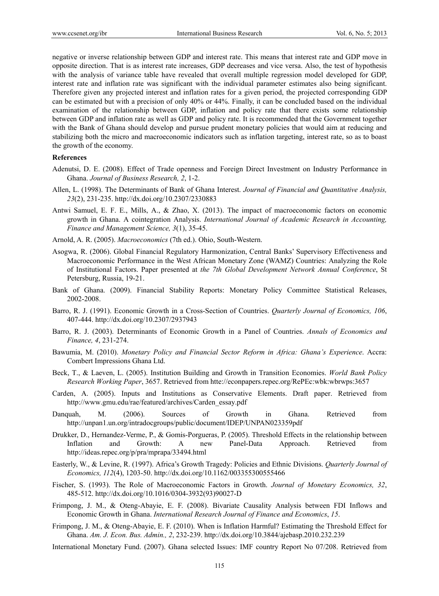negative or inverse relationship between GDP and interest rate. This means that interest rate and GDP move in opposite direction. That is as interest rate increases, GDP decreases and vice versa. Also, the test of hypothesis with the analysis of variance table have revealed that overall multiple regression model developed for GDP, interest rate and inflation rate was significant with the individual parameter estimates also being significant. Therefore given any projected interest and inflation rates for a given period, the projected corresponding GDP can be estimated but with a precision of only 40% or 44%. Finally, it can be concluded based on the individual examination of the relationship between GDP, inflation and policy rate that there exists some relationship between GDP and inflation rate as well as GDP and policy rate. It is recommended that the Government together with the Bank of Ghana should develop and pursue prudent monetary policies that would aim at reducing and stabilizing both the micro and macroeconomic indicators such as inflation targeting, interest rate, so as to boast the growth of the economy.

#### **References**

- Adenutsi, D. E. (2008). Effect of Trade openness and Foreign Direct Investment on Industry Performance in Ghana. *Journal of Business Research, 2*, 1-2.
- Allen, L. (1998). The Determinants of Bank of Ghana Interest. *Journal of Financial and Quantitative Analysis, 23*(2), 231-235. http://dx.doi.org/10.2307/2330883
- Antwi Samuel, E. F. E., Mills, A., & Zhao, X. (2013). The impact of macroeconomic factors on economic growth in Ghana. A cointegration Analysis. *International Journal of Academic Research in Accounting, Finance and Management Science, 3*(1), 35-45.
- Arnold, A. R. (2005). *Macroeconomics* (7th ed.). Ohio, South-Western.
- Asogwa, R. (2006). Global Financial Regulatory Harmonization, Central Banks' Supervisory Effectiveness and Macroeconomic Performance in the West African Monetary Zone (WAMZ) Countries: Analyzing the Role of Institutional Factors. Paper presented at *the 7th Global Development Network Annual Conference*, St Petersburg, Russia, 19-21.
- Bank of Ghana. (2009). Financial Stability Reports: Monetary Policy Committee Statistical Releases, 2002-2008.
- Barro, R. J. (1991). Economic Growth in a Cross-Section of Countries. *Quarterly Journal of Economics, 106*, 407-444. http://dx.doi.org/10.2307/2937943
- Barro, R. J. (2003). Determinants of Economic Growth in a Panel of Countries. *Annals of Economics and Finance, 4*, 231-274.
- Bawumia, M. (2010). *Monetary Policy and Financial Sector Reform in Africa: Ghana's Experience*. Accra: Combert Impressions Ghana Ltd.
- Beck, T., & Laeven, L. (2005). Institution Building and Growth in Transition Economies. *World Bank Policy Research Working Paper*, 3657. Retrieved from htte://econpapers.repec.org/RePEc:wbk:wbrwps:3657
- Carden, A. (2005). Inputs and Institutions as Conservative Elements. Draft paper. Retrieved from http://www.gmu.edu/rae/featured/archives/Carden\_essay.pdf
- Danquah, M. (2006). Sources of Growth in Ghana. Retrieved from http://unpan1.un.org/intradocgroups/public/document/IDEP/UNPAN023359pdf
- Drukker, D., Hernandez-Verme, P., & Gomis-Porgueras, P. (2005). Threshold Effects in the relationship between Inflation and Growth: A new Panel-Data Approach. Retrieved from http://ideas.repec.org/p/pra/mprapa/33494.html
- Easterly, W., & Levine, R. (1997). Africa's Growth Tragedy: Policies and Ethnic Divisions. *Quarterly Journal of Economics, 112*(4), 1203-50. http://dx.doi.org/10.1162/003355300555466
- Fischer, S. (1993). The Role of Macroeconomic Factors in Growth. *Journal of Monetary Economics, 32*, 485-512. http://dx.doi.org/10.1016/0304-3932(93)90027-D
- Frimpong, J. M., & Oteng-Abayie, E. F. (2008). Bivariate Causality Analysis between FDI Inflows and Economic Growth in Ghana. *International Research Journal of Finance and Economics*, *15*.
- Frimpong, J. M., & Oteng-Abayie, E. F. (2010). When is Inflation Harmful? Estimating the Threshold Effect for Ghana. *Am. J. Econ. Bus. Admin., 2*, 232-239. http://dx.doi.org/10.3844/ajebasp.2010.232.239
- International Monetary Fund. (2007). Ghana selected Issues: IMF country Report No 07/208. Retrieved from